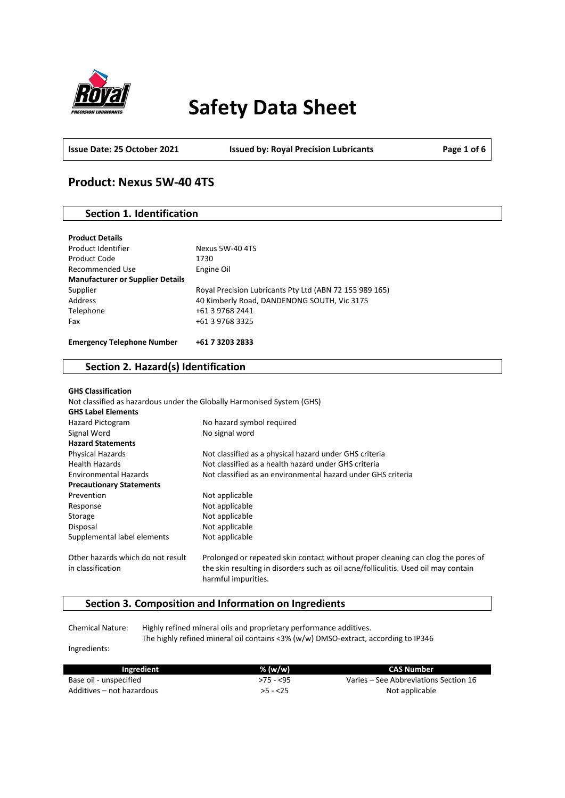

# **Safety Data Sheet**

**Issue Date: 25 October 2021 Issued by: Royal Precision Lubricants Page 1 of 6**

### **Product: Nexus 5W-40 4TS**

### **Section 1. Identification**

| <b>Product Details</b>                  |                                                         |
|-----------------------------------------|---------------------------------------------------------|
| Product Identifier                      | Nexus 5W-40 4TS                                         |
| Product Code                            | 1730                                                    |
| Recommended Use                         | Engine Oil                                              |
| <b>Manufacturer or Supplier Details</b> |                                                         |
| Supplier                                | Royal Precision Lubricants Pty Ltd (ABN 72 155 989 165) |
| Address                                 | 40 Kimberly Road, DANDENONG SOUTH, Vic 3175             |
| Telephone                               | +61 3 9768 2441                                         |
| Fax                                     | +61 3 9768 3325                                         |
|                                         |                                                         |
| <b>Emergency Telephone Number</b>       | +61 7 3203 2833                                         |

### **Section 2. Hazard(s) Identification**

| <b>GHS Classification</b>                              |                                                                                                                                                                         |
|--------------------------------------------------------|-------------------------------------------------------------------------------------------------------------------------------------------------------------------------|
|                                                        | Not classified as hazardous under the Globally Harmonised System (GHS)                                                                                                  |
| <b>GHS Label Elements</b>                              |                                                                                                                                                                         |
| <b>Hazard Pictogram</b>                                | No hazard symbol required                                                                                                                                               |
| Signal Word                                            | No signal word                                                                                                                                                          |
| <b>Hazard Statements</b>                               |                                                                                                                                                                         |
| <b>Physical Hazards</b>                                | Not classified as a physical hazard under GHS criteria                                                                                                                  |
| <b>Health Hazards</b>                                  | Not classified as a health hazard under GHS criteria                                                                                                                    |
| <b>Environmental Hazards</b>                           | Not classified as an environmental hazard under GHS criteria                                                                                                            |
| <b>Precautionary Statements</b>                        |                                                                                                                                                                         |
| Prevention                                             | Not applicable                                                                                                                                                          |
| Response                                               | Not applicable                                                                                                                                                          |
| Storage                                                | Not applicable                                                                                                                                                          |
| Disposal                                               | Not applicable                                                                                                                                                          |
| Supplemental label elements                            | Not applicable                                                                                                                                                          |
| Other hazards which do not result<br>in classification | Prolonged or repeated skin contact without proper cleaning can clog the pores of<br>the skin resulting in disorders such as oil acne/folliculitis. Used oil may contain |
|                                                        | harmful impurities.                                                                                                                                                     |

### **Section 3. Composition and Information on Ingredients**

Chemical Nature: Highly refined mineral oils and proprietary performance additives. The highly refined mineral oil contains <3% (w/w) DMSO-extract, according to IP346

Ingredients:

| Ingredient                | % (w/w)    | CAS Number                            |
|---------------------------|------------|---------------------------------------|
| Base oil - unspecified    | $>75 - 55$ | Varies – See Abbreviations Section 16 |
| Additives – not hazardous | $>5 - 25$  | Not applicable                        |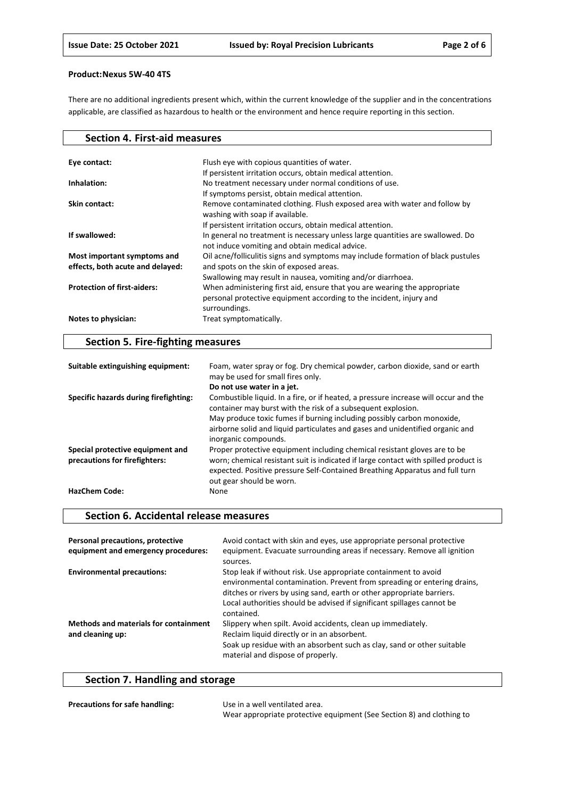There are no additional ingredients present which, within the current knowledge of the supplier and in the concentrations applicable, are classified as hazardous to health or the environment and hence require reporting in this section.

| <b>Section 4. First-aid measures</b> |                                                                                  |
|--------------------------------------|----------------------------------------------------------------------------------|
|                                      |                                                                                  |
| Eye contact:                         | Flush eye with copious quantities of water.                                      |
|                                      | If persistent irritation occurs, obtain medical attention.                       |
| Inhalation:                          | No treatment necessary under normal conditions of use.                           |
|                                      | If symptoms persist, obtain medical attention.                                   |
| Skin contact:                        | Remove contaminated clothing. Flush exposed area with water and follow by        |
|                                      | washing with soap if available.                                                  |
|                                      | If persistent irritation occurs, obtain medical attention.                       |
| If swallowed:                        | In general no treatment is necessary unless large quantities are swallowed. Do   |
|                                      | not induce vomiting and obtain medical advice.                                   |
| Most important symptoms and          | Oil acne/folliculitis signs and symptoms may include formation of black pustules |
| effects, both acute and delayed:     | and spots on the skin of exposed areas.                                          |
|                                      | Swallowing may result in nausea, vomiting and/or diarrhoea.                      |
| <b>Protection of first-aiders:</b>   | When administering first aid, ensure that you are wearing the appropriate        |
|                                      | personal protective equipment according to the incident, injury and              |
|                                      | surroundings.                                                                    |
| Notes to physician:                  | Treat symptomatically.                                                           |
|                                      |                                                                                  |

### **Section 5. Fire-fighting measures**

| Suitable extinguishing equipment:                                 | Foam, water spray or fog. Dry chemical powder, carbon dioxide, sand or earth<br>may be used for small fires only.                                                                                                                                                            |
|-------------------------------------------------------------------|------------------------------------------------------------------------------------------------------------------------------------------------------------------------------------------------------------------------------------------------------------------------------|
|                                                                   | Do not use water in a jet.                                                                                                                                                                                                                                                   |
| Specific hazards during firefighting:                             | Combustible liquid. In a fire, or if heated, a pressure increase will occur and the<br>container may burst with the risk of a subsequent explosion.                                                                                                                          |
|                                                                   | May produce toxic fumes if burning including possibly carbon monoxide,<br>airborne solid and liquid particulates and gases and unidentified organic and<br>inorganic compounds.                                                                                              |
| Special protective equipment and<br>precautions for firefighters: | Proper protective equipment including chemical resistant gloves are to be<br>worn; chemical resistant suit is indicated if large contact with spilled product is<br>expected. Positive pressure Self-Contained Breathing Apparatus and full turn<br>out gear should be worn. |
| <b>HazChem Code:</b>                                              | None                                                                                                                                                                                                                                                                         |

### **Section 6. Accidental release measures**

| Personal precautions, protective<br>equipment and emergency procedures: | Avoid contact with skin and eyes, use appropriate personal protective<br>equipment. Evacuate surrounding areas if necessary. Remove all ignition<br>sources.                                                                                                                                                |
|-------------------------------------------------------------------------|-------------------------------------------------------------------------------------------------------------------------------------------------------------------------------------------------------------------------------------------------------------------------------------------------------------|
| <b>Environmental precautions:</b>                                       | Stop leak if without risk. Use appropriate containment to avoid<br>environmental contamination. Prevent from spreading or entering drains,<br>ditches or rivers by using sand, earth or other appropriate barriers.<br>Local authorities should be advised if significant spillages cannot be<br>contained. |
| <b>Methods and materials for containment</b><br>and cleaning up:        | Slippery when spilt. Avoid accidents, clean up immediately.<br>Reclaim liquid directly or in an absorbent.<br>Soak up residue with an absorbent such as clay, sand or other suitable<br>material and dispose of properly.                                                                                   |

## **Section 7. Handling and storage**

| <b>Precautions for safe handling:</b> | Use in a well ventilated area.                                        |
|---------------------------------------|-----------------------------------------------------------------------|
|                                       | Wear appropriate protective equipment (See Section 8) and clothing to |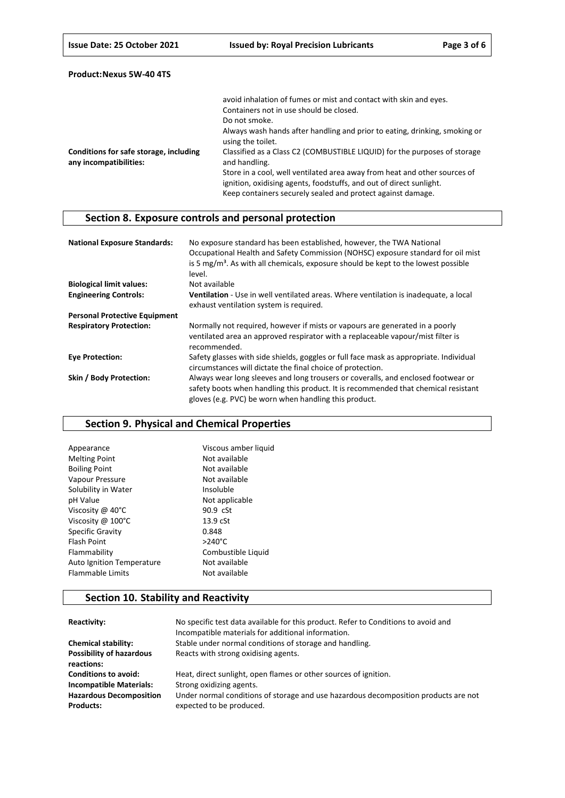|                                                                  | avoid inhalation of fumes or mist and contact with skin and eyes.                                                                                                                                               |
|------------------------------------------------------------------|-----------------------------------------------------------------------------------------------------------------------------------------------------------------------------------------------------------------|
|                                                                  | Containers not in use should be closed.                                                                                                                                                                         |
|                                                                  | Do not smoke.                                                                                                                                                                                                   |
|                                                                  | Always wash hands after handling and prior to eating, drinking, smoking or<br>using the toilet.                                                                                                                 |
| Conditions for safe storage, including<br>any incompatibilities: | Classified as a Class C2 (COMBUSTIBLE LIQUID) for the purposes of storage<br>and handling.                                                                                                                      |
|                                                                  | Store in a cool, well ventilated area away from heat and other sources of<br>ignition, oxidising agents, foodstuffs, and out of direct sunlight.<br>Keep containers securely sealed and protect against damage. |

### **Section 8. Exposure controls and personal protection**

| <b>National Exposure Standards:</b>  | No exposure standard has been established, however, the TWA National<br>Occupational Health and Safety Commission (NOHSC) exposure standard for oil mist<br>is 5 $mg/m3$ . As with all chemicals, exposure should be kept to the lowest possible<br>level. |
|--------------------------------------|------------------------------------------------------------------------------------------------------------------------------------------------------------------------------------------------------------------------------------------------------------|
| <b>Biological limit values:</b>      | Not available                                                                                                                                                                                                                                              |
| <b>Engineering Controls:</b>         | <b>Ventilation</b> - Use in well ventilated areas. Where ventilation is inadequate, a local<br>exhaust ventilation system is required.                                                                                                                     |
| <b>Personal Protective Equipment</b> |                                                                                                                                                                                                                                                            |
| <b>Respiratory Protection:</b>       | Normally not required, however if mists or vapours are generated in a poorly<br>ventilated area an approved respirator with a replaceable vapour/mist filter is<br>recommended.                                                                            |
| <b>Eye Protection:</b>               | Safety glasses with side shields, goggles or full face mask as appropriate. Individual<br>circumstances will dictate the final choice of protection.                                                                                                       |
| Skin / Body Protection:              | Always wear long sleeves and long trousers or coveralls, and enclosed footwear or<br>safety boots when handling this product. It is recommended that chemical resistant<br>gloves (e.g. PVC) be worn when handling this product.                           |

### **Section 9. Physical and Chemical Properties**

| Viscous amber liquid |
|----------------------|
| Not available        |
| Not available        |
| Not available        |
| Insoluble            |
| Not applicable       |
| 90.9 cSt             |
| 13.9 <sub>cSt</sub>  |
| 0.848                |
| $>240^{\circ}$ C     |
| Combustible Liquid   |
| Not available        |
| Not available        |
|                      |

### **Section 10. Stability and Reactivity**

| Reactivity:                     | No specific test data available for this product. Refer to Conditions to avoid and<br>Incompatible materials for additional information. |
|---------------------------------|------------------------------------------------------------------------------------------------------------------------------------------|
| <b>Chemical stability:</b>      | Stable under normal conditions of storage and handling.                                                                                  |
| <b>Possibility of hazardous</b> | Reacts with strong oxidising agents.                                                                                                     |
| reactions:                      |                                                                                                                                          |
| <b>Conditions to avoid:</b>     | Heat, direct sunlight, open flames or other sources of ignition.                                                                         |
| <b>Incompatible Materials:</b>  | Strong oxidizing agents.                                                                                                                 |
| <b>Hazardous Decomposition</b>  | Under normal conditions of storage and use hazardous decomposition products are not                                                      |
| <b>Products:</b>                | expected to be produced.                                                                                                                 |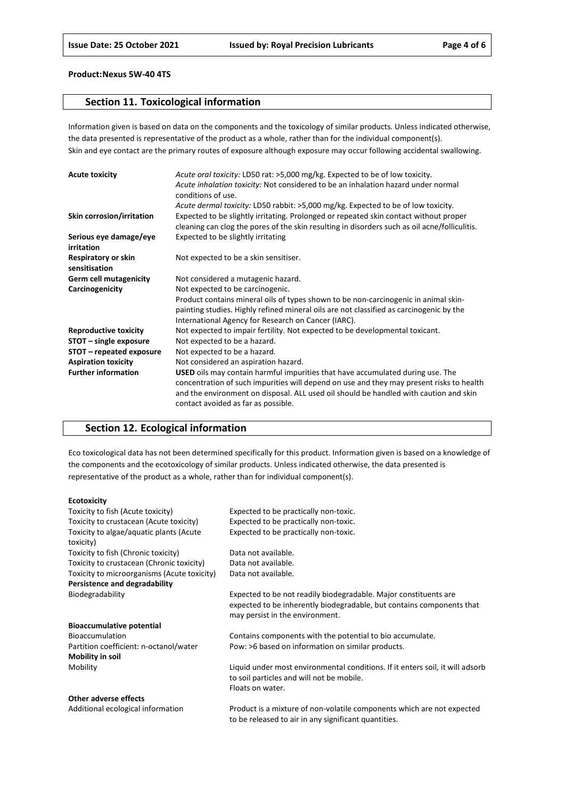### **Section 11. Toxicological information**

Information given is based on data on the components and the toxicology of similar products. Unless indicated otherwise, the data presented is representative of the product as a whole, rather than for the individual component(s). Skin and eye contact are the primary routes of exposure although exposure may occur following accidental swallowing.

| <b>Acute toxicity</b>                | Acute oral toxicity: LD50 rat: >5,000 mg/kg. Expected to be of low toxicity.<br>Acute inhalation toxicity: Not considered to be an inhalation hazard under normal<br>conditions of use.                                                                                                                    |
|--------------------------------------|------------------------------------------------------------------------------------------------------------------------------------------------------------------------------------------------------------------------------------------------------------------------------------------------------------|
|                                      | Acute dermal toxicity: LD50 rabbit: >5,000 mg/kg. Expected to be of low toxicity.                                                                                                                                                                                                                          |
| Skin corrosion/irritation            | Expected to be slightly irritating. Prolonged or repeated skin contact without proper<br>cleaning can clog the pores of the skin resulting in disorders such as oil acne/folliculitis.                                                                                                                     |
| Serious eye damage/eye<br>irritation | Expected to be slightly irritating                                                                                                                                                                                                                                                                         |
| Respiratory or skin<br>sensitisation | Not expected to be a skin sensitiser.                                                                                                                                                                                                                                                                      |
| <b>Germ cell mutagenicity</b>        | Not considered a mutagenic hazard.                                                                                                                                                                                                                                                                         |
| Carcinogenicity                      | Not expected to be carcinogenic.                                                                                                                                                                                                                                                                           |
|                                      | Product contains mineral oils of types shown to be non-carcinogenic in animal skin-                                                                                                                                                                                                                        |
|                                      | painting studies. Highly refined mineral oils are not classified as carcinogenic by the                                                                                                                                                                                                                    |
|                                      | International Agency for Research on Cancer (IARC).                                                                                                                                                                                                                                                        |
| <b>Reproductive toxicity</b>         | Not expected to impair fertility. Not expected to be developmental toxicant.                                                                                                                                                                                                                               |
| STOT - single exposure               | Not expected to be a hazard.                                                                                                                                                                                                                                                                               |
| STOT – repeated exposure             | Not expected to be a hazard.                                                                                                                                                                                                                                                                               |
| <b>Aspiration toxicity</b>           | Not considered an aspiration hazard.                                                                                                                                                                                                                                                                       |
| <b>Further information</b>           | USED oils may contain harmful impurities that have accumulated during use. The<br>concentration of such impurities will depend on use and they may present risks to health<br>and the environment on disposal. ALL used oil should be handled with caution and skin<br>contact avoided as far as possible. |

### **Section 12. Ecological information**

Eco toxicological data has not been determined specifically for this product. Information given is based on a knowledge of the components and the ecotoxicology of similar products. Unless indicated otherwise, the data presented is representative of the product as a whole, rather than for individual component(s).

#### **Ecotoxicity**

| Toxicity to fish (Acute toxicity)           | Expected to be practically non-toxic.                                         |
|---------------------------------------------|-------------------------------------------------------------------------------|
| Toxicity to crustacean (Acute toxicity)     | Expected to be practically non-toxic.                                         |
| Toxicity to algae/aquatic plants (Acute     | Expected to be practically non-toxic.                                         |
| toxicity)                                   |                                                                               |
| Toxicity to fish (Chronic toxicity)         | Data not available.                                                           |
| Toxicity to crustacean (Chronic toxicity)   | Data not available.                                                           |
| Toxicity to microorganisms (Acute toxicity) | Data not available.                                                           |
| Persistence and degradability               |                                                                               |
| Biodegradability                            | Expected to be not readily biodegradable. Major constituents are              |
|                                             | expected to be inherently biodegradable, but contains components that         |
|                                             | may persist in the environment.                                               |
| <b>Bioaccumulative potential</b>            |                                                                               |
| <b>Bioaccumulation</b>                      | Contains components with the potential to bio accumulate.                     |
| Partition coefficient: n-octanol/water      | Pow: >6 based on information on similar products.                             |
| <b>Mobility in soil</b>                     |                                                                               |
| Mobility                                    | Liquid under most environmental conditions. If it enters soil, it will adsorb |
|                                             | to soil particles and will not be mobile.                                     |
|                                             | Floats on water.                                                              |
| Other adverse effects                       |                                                                               |
| Additional ecological information           | Product is a mixture of non-volatile components which are not expected        |

to be released to air in any significant quantities.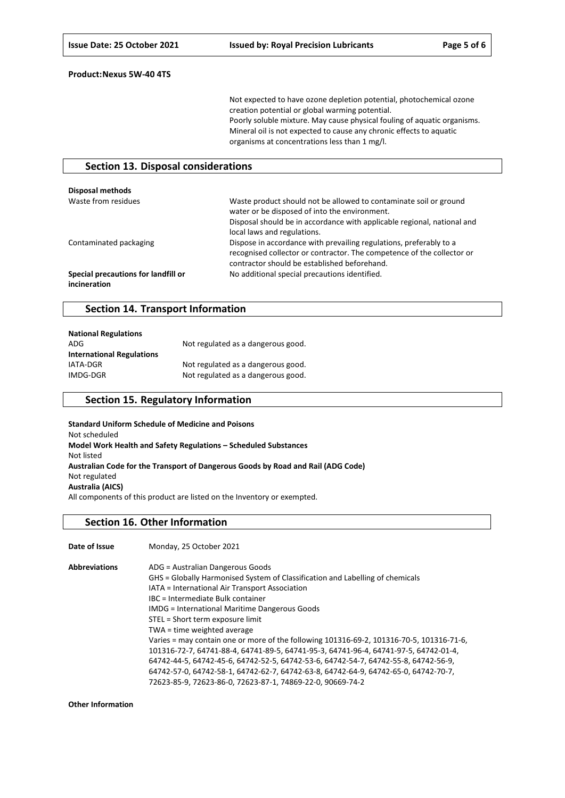Not expected to have ozone depletion potential, photochemical ozone creation potential or global warming potential. Poorly soluble mixture. May cause physical fouling of aquatic organisms. Mineral oil is not expected to cause any chronic effects to aquatic organisms at concentrations less than 1 mg/l.

#### **Section 13. Disposal considerations**

| Disposal methods                                    |                                                                                                                                                                                                                              |
|-----------------------------------------------------|------------------------------------------------------------------------------------------------------------------------------------------------------------------------------------------------------------------------------|
| Waste from residues                                 | Waste product should not be allowed to contaminate soil or ground<br>water or be disposed of into the environment.<br>Disposal should be in accordance with applicable regional, national and<br>local laws and regulations. |
| Contaminated packaging                              | Dispose in accordance with prevailing regulations, preferably to a<br>recognised collector or contractor. The competence of the collector or<br>contractor should be established beforehand.                                 |
| Special precautions for landfill or<br>incineration | No additional special precautions identified.                                                                                                                                                                                |

#### **Section 14. Transport Information**

| <b>National Regulations</b>      |                                    |
|----------------------------------|------------------------------------|
| ADG                              | Not regulated as a dangerous good. |
| <b>International Regulations</b> |                                    |
| IATA-DGR                         | Not regulated as a dangerous good. |
| IMDG-DGR                         | Not regulated as a dangerous good. |

### **Section 15. Regulatory Information**

**Standard Uniform Schedule of Medicine and Poisons** Not scheduled **Model Work Health and Safety Regulations – Scheduled Substances** Not listed **Australian Code for the Transport of Dangerous Goods by Road and Rail (ADG Code)** Not regulated **Australia (AICS)** All components of this product are listed on the Inventory or exempted.

#### **Section 16. Other Information**

| Date of Issue        | Monday, 25 October 2021                                                                  |
|----------------------|------------------------------------------------------------------------------------------|
| <b>Abbreviations</b> | ADG = Australian Dangerous Goods                                                         |
|                      | GHS = Globally Harmonised System of Classification and Labelling of chemicals            |
|                      | IATA = International Air Transport Association                                           |
|                      | IBC = Intermediate Bulk container                                                        |
|                      | <b>IMDG</b> = International Maritime Dangerous Goods                                     |
|                      | STEL = Short term exposure limit                                                         |
|                      | TWA = time weighted average                                                              |
|                      | Varies = may contain one or more of the following 101316-69-2, 101316-70-5, 101316-71-6, |
|                      | 101316-72-7, 64741-88-4, 64741-89-5, 64741-95-3, 64741-96-4, 64741-97-5, 64742-01-4,     |
|                      | 64742-44-5, 64742-45-6, 64742-52-5, 64742-53-6, 64742-54-7, 64742-55-8, 64742-56-9,      |
|                      | 64742-57-0, 64742-58-1, 64742-62-7, 64742-63-8, 64742-64-9, 64742-65-0, 64742-70-7,      |
|                      | 72623-85-9, 72623-86-0, 72623-87-1, 74869-22-0, 90669-74-2                               |

**Other Information**